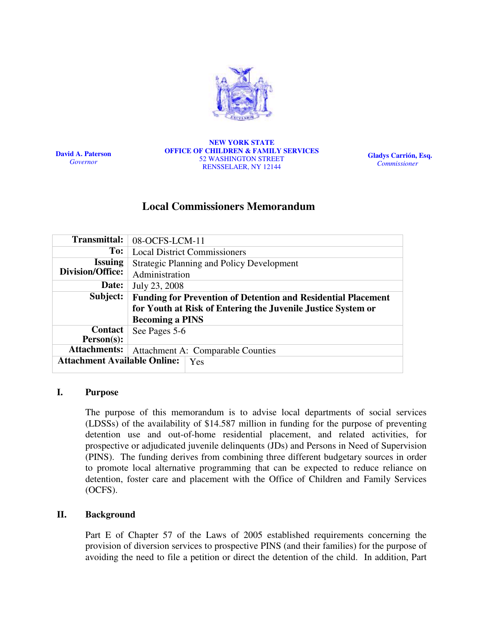

David A. Paterson Governor

#### NEW YORK STATE OFFICE OF CHILDREN & FAMILY SERVICES 52 WASHINGTON STREET RENSSELAER, NY 12144

Gladys Carrión, Esq. Commissioner

## Local Commissioners Memorandum

| <b>Transmittal:</b>                 | 08-OCFS-LCM-11                                                       |  |  |  |
|-------------------------------------|----------------------------------------------------------------------|--|--|--|
| To:                                 | <b>Local District Commissioners</b>                                  |  |  |  |
| <b>Issuing</b>                      | <b>Strategic Planning and Policy Development</b>                     |  |  |  |
| Division/Office:                    | Administration                                                       |  |  |  |
| Date:                               | July 23, 2008                                                        |  |  |  |
| Subject:                            | <b>Funding for Prevention of Detention and Residential Placement</b> |  |  |  |
|                                     | for Youth at Risk of Entering the Juvenile Justice System or         |  |  |  |
|                                     | <b>Becoming a PINS</b>                                               |  |  |  |
| <b>Contact</b>                      | See Pages 5-6                                                        |  |  |  |
| $Person(s)$ :                       |                                                                      |  |  |  |
| <b>Attachments:</b>                 | Attachment A: Comparable Counties                                    |  |  |  |
|                                     |                                                                      |  |  |  |
| <b>Attachment Available Online:</b> | Yes                                                                  |  |  |  |

### I. Purpose

The purpose of this memorandum is to advise local departments of social services (LDSSs) of the availability of \$14.587 million in funding for the purpose of preventing detention use and out-of-home residential placement, and related activities, for prospective or adjudicated juvenile delinquents (JDs) and Persons in Need of Supervision (PINS). The funding derives from combining three different budgetary sources in order to promote local alternative programming that can be expected to reduce reliance on detention, foster care and placement with the Office of Children and Family Services (OCFS).

#### II. Background

Part E of Chapter 57 of the Laws of 2005 established requirements concerning the provision of diversion services to prospective PINS (and their families) for the purpose of avoiding the need to file a petition or direct the detention of the child. In addition, Part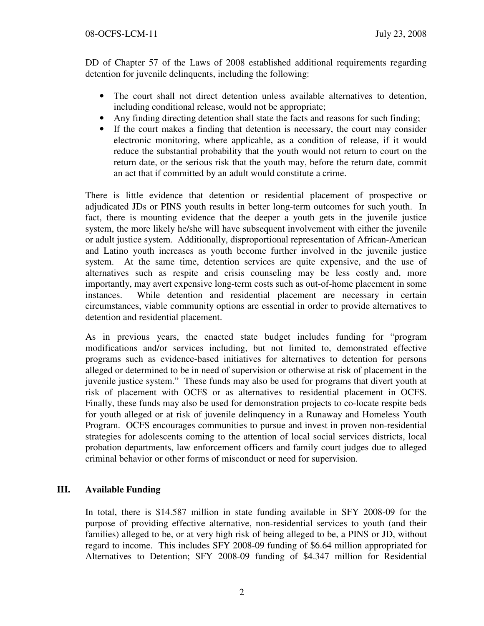DD of Chapter 57 of the Laws of 2008 established additional requirements regarding detention for juvenile delinquents, including the following:

- The court shall not direct detention unless available alternatives to detention, including conditional release, would not be appropriate;
- Any finding directing detention shall state the facts and reasons for such finding;
- If the court makes a finding that detention is necessary, the court may consider electronic monitoring, where applicable, as a condition of release, if it would reduce the substantial probability that the youth would not return to court on the return date, or the serious risk that the youth may, before the return date, commit an act that if committed by an adult would constitute a crime.

There is little evidence that detention or residential placement of prospective or adjudicated JDs or PINS youth results in better long-term outcomes for such youth. In fact, there is mounting evidence that the deeper a youth gets in the juvenile justice system, the more likely he/she will have subsequent involvement with either the juvenile or adult justice system. Additionally, disproportional representation of African-American and Latino youth increases as youth become further involved in the juvenile justice system. At the same time, detention services are quite expensive, and the use of alternatives such as respite and crisis counseling may be less costly and, more importantly, may avert expensive long-term costs such as out-of-home placement in some instances. While detention and residential placement are necessary in certain circumstances, viable community options are essential in order to provide alternatives to detention and residential placement.

As in previous years, the enacted state budget includes funding for "program modifications and/or services including, but not limited to, demonstrated effective programs such as evidence-based initiatives for alternatives to detention for persons alleged or determined to be in need of supervision or otherwise at risk of placement in the juvenile justice system." These funds may also be used for programs that divert youth at risk of placement with OCFS or as alternatives to residential placement in OCFS. Finally, these funds may also be used for demonstration projects to co-locate respite beds for youth alleged or at risk of juvenile delinquency in a Runaway and Homeless Youth Program. OCFS encourages communities to pursue and invest in proven non-residential strategies for adolescents coming to the attention of local social services districts, local probation departments, law enforcement officers and family court judges due to alleged criminal behavior or other forms of misconduct or need for supervision.

## III. Available Funding

In total, there is \$14.587 million in state funding available in SFY 2008-09 for the purpose of providing effective alternative, non-residential services to youth (and their families) alleged to be, or at very high risk of being alleged to be, a PINS or JD, without regard to income. This includes SFY 2008-09 funding of \$6.64 million appropriated for Alternatives to Detention; SFY 2008-09 funding of \$4.347 million for Residential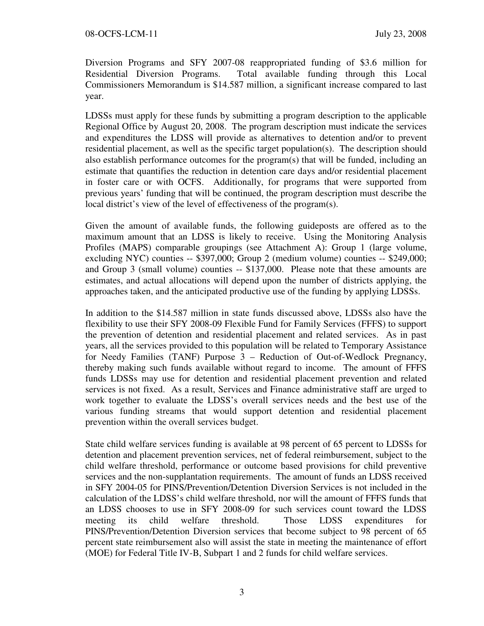Diversion Programs and SFY 2007-08 reappropriated funding of \$3.6 million for Residential Diversion Programs. Total available funding through this Local Commissioners Memorandum is \$14.587 million, a significant increase compared to last year.

LDSSs must apply for these funds by submitting a program description to the applicable Regional Office by August 20, 2008. The program description must indicate the services and expenditures the LDSS will provide as alternatives to detention and/or to prevent residential placement, as well as the specific target population(s). The description should also establish performance outcomes for the program(s) that will be funded, including an estimate that quantifies the reduction in detention care days and/or residential placement in foster care or with OCFS. Additionally, for programs that were supported from previous years' funding that will be continued, the program description must describe the local district's view of the level of effectiveness of the program(s).

Given the amount of available funds, the following guideposts are offered as to the maximum amount that an LDSS is likely to receive. Using the Monitoring Analysis Profiles (MAPS) comparable groupings (see Attachment A): Group 1 (large volume, excluding NYC) counties -- \$397,000; Group 2 (medium volume) counties -- \$249,000; and Group 3 (small volume) counties -- \$137,000. Please note that these amounts are estimates, and actual allocations will depend upon the number of districts applying, the approaches taken, and the anticipated productive use of the funding by applying LDSSs.

In addition to the \$14.587 million in state funds discussed above, LDSSs also have the flexibility to use their SFY 2008-09 Flexible Fund for Family Services (FFFS) to support the prevention of detention and residential placement and related services. As in past years, all the services provided to this population will be related to Temporary Assistance for Needy Families (TANF) Purpose 3 – Reduction of Out-of-Wedlock Pregnancy, thereby making such funds available without regard to income. The amount of FFFS funds LDSSs may use for detention and residential placement prevention and related services is not fixed. As a result, Services and Finance administrative staff are urged to work together to evaluate the LDSS's overall services needs and the best use of the various funding streams that would support detention and residential placement prevention within the overall services budget.

State child welfare services funding is available at 98 percent of 65 percent to LDSSs for detention and placement prevention services, net of federal reimbursement, subject to the child welfare threshold, performance or outcome based provisions for child preventive services and the non-supplantation requirements. The amount of funds an LDSS received in SFY 2004-05 for PINS/Prevention/Detention Diversion Services is not included in the calculation of the LDSS's child welfare threshold, nor will the amount of FFFS funds that an LDSS chooses to use in SFY 2008-09 for such services count toward the LDSS meeting its child welfare threshold. Those LDSS expenditures for PINS/Prevention/Detention Diversion services that become subject to 98 percent of 65 percent state reimbursement also will assist the state in meeting the maintenance of effort (MOE) for Federal Title IV-B, Subpart 1 and 2 funds for child welfare services.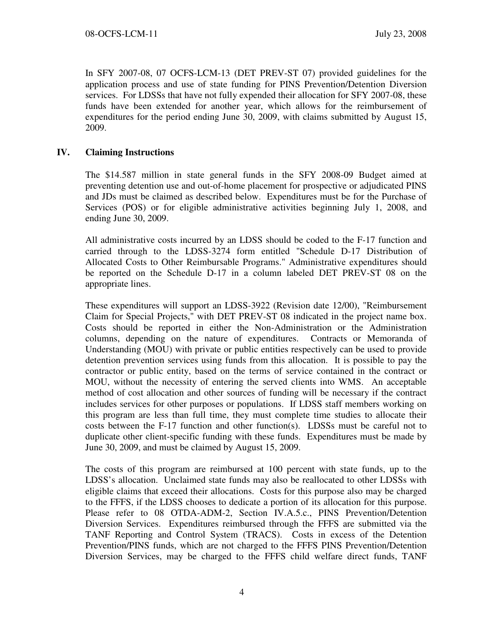In SFY 2007-08, 07 OCFS-LCM-13 (DET PREV-ST 07) provided guidelines for the application process and use of state funding for PINS Prevention/Detention Diversion services. For LDSSs that have not fully expended their allocation for SFY 2007-08, these funds have been extended for another year, which allows for the reimbursement of expenditures for the period ending June 30, 2009, with claims submitted by August 15, 2009.

## IV. Claiming Instructions

The \$14.587 million in state general funds in the SFY 2008-09 Budget aimed at preventing detention use and out-of-home placement for prospective or adjudicated PINS and JDs must be claimed as described below. Expenditures must be for the Purchase of Services (POS) or for eligible administrative activities beginning July 1, 2008, and ending June 30, 2009.

All administrative costs incurred by an LDSS should be coded to the F-17 function and carried through to the LDSS-3274 form entitled "Schedule D-17 Distribution of Allocated Costs to Other Reimbursable Programs." Administrative expenditures should be reported on the Schedule D-17 in a column labeled DET PREV-ST 08 on the appropriate lines.

These expenditures will support an LDSS-3922 (Revision date 12/00), "Reimbursement Claim for Special Projects," with DET PREV-ST 08 indicated in the project name box. Costs should be reported in either the Non-Administration or the Administration columns, depending on the nature of expenditures. Contracts or Memoranda of Understanding (MOU) with private or public entities respectively can be used to provide detention prevention services using funds from this allocation. It is possible to pay the contractor or public entity, based on the terms of service contained in the contract or MOU, without the necessity of entering the served clients into WMS. An acceptable method of cost allocation and other sources of funding will be necessary if the contract includes services for other purposes or populations. If LDSS staff members working on this program are less than full time, they must complete time studies to allocate their costs between the F-17 function and other function(s). LDSSs must be careful not to duplicate other client-specific funding with these funds. Expenditures must be made by June 30, 2009, and must be claimed by August 15, 2009.

The costs of this program are reimbursed at 100 percent with state funds, up to the LDSS's allocation. Unclaimed state funds may also be reallocated to other LDSSs with eligible claims that exceed their allocations. Costs for this purpose also may be charged to the FFFS, if the LDSS chooses to dedicate a portion of its allocation for this purpose. Please refer to 08 OTDA-ADM-2, Section IV.A.5.c., PINS Prevention/Detention Diversion Services. Expenditures reimbursed through the FFFS are submitted via the TANF Reporting and Control System (TRACS). Costs in excess of the Detention Prevention/PINS funds, which are not charged to the FFFS PINS Prevention/Detention Diversion Services, may be charged to the FFFS child welfare direct funds, TANF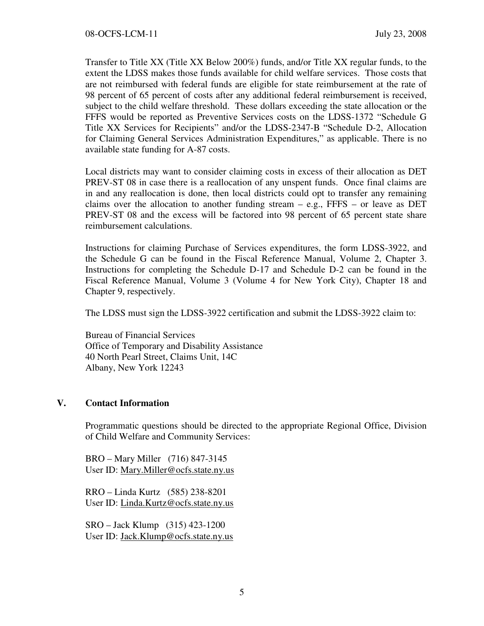Transfer to Title XX (Title XX Below 200%) funds, and/or Title XX regular funds, to the extent the LDSS makes those funds available for child welfare services. Those costs that are not reimbursed with federal funds are eligible for state reimbursement at the rate of 98 percent of 65 percent of costs after any additional federal reimbursement is received, subject to the child welfare threshold. These dollars exceeding the state allocation or the FFFS would be reported as Preventive Services costs on the LDSS-1372 "Schedule G Title XX Services for Recipients" and/or the LDSS-2347-B "Schedule D-2, Allocation for Claiming General Services Administration Expenditures," as applicable. There is no available state funding for A-87 costs.

Local districts may want to consider claiming costs in excess of their allocation as DET PREV-ST 08 in case there is a reallocation of any unspent funds. Once final claims are in and any reallocation is done, then local districts could opt to transfer any remaining claims over the allocation to another funding stream  $-$  e.g., FFFS  $-$  or leave as DET PREV-ST 08 and the excess will be factored into 98 percent of 65 percent state share reimbursement calculations.

Instructions for claiming Purchase of Services expenditures, the form LDSS-3922, and the Schedule G can be found in the Fiscal Reference Manual, Volume 2, Chapter 3. Instructions for completing the Schedule D-17 and Schedule D-2 can be found in the Fiscal Reference Manual, Volume 3 (Volume 4 for New York City), Chapter 18 and Chapter 9, respectively.

The LDSS must sign the LDSS-3922 certification and submit the LDSS-3922 claim to:

Bureau of Financial Services Office of Temporary and Disability Assistance 40 North Pearl Street, Claims Unit, 14C Albany, New York 12243

## V. Contact Information

Programmatic questions should be directed to the appropriate Regional Office, Division of Child Welfare and Community Services:

BRO – Mary Miller (716) 847-3145 User ID: Mary.Miller@ocfs.state.ny.us

RRO – Linda Kurtz (585) 238-8201 User ID: Linda.Kurtz@ocfs.state.ny.us

SRO – Jack Klump (315) 423-1200 User ID: Jack.Klump@ocfs.state.ny.us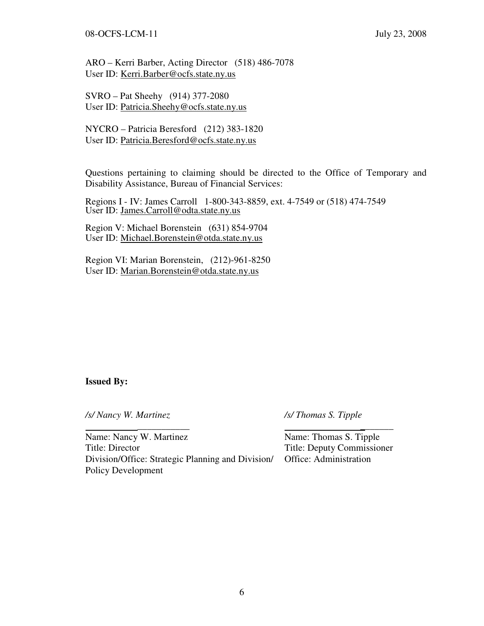08-OCFS-LCM-11 July 23, 2008

ARO – Kerri Barber, Acting Director (518) 486-7078 User ID: Kerri.Barber@ocfs.state.ny.us

SVRO – Pat Sheehy (914) 377-2080 User ID: Patricia.Sheehy@ocfs.state.ny.us

NYCRO – Patricia Beresford (212) 383-1820 User ID: Patricia.Beresford@ocfs.state.ny.us

Questions pertaining to claiming should be directed to the Office of Temporary and Disability Assistance, Bureau of Financial Services:

Regions I - IV: James Carroll 1-800-343-8859, ext. 4-7549 or (518) 474-7549 User ID: James.Carroll@odta.state.ny.us

Region V: Michael Borenstein (631) 854-9704 User ID: Michael.Borenstein@otda.state.ny.us

Region VI: Marian Borenstein, (212)-961-8250 User ID: Marian.Borenstein@otda.state.ny.us

#### Issued By:

/s/ Nancy W. Martinez /s/ Thomas S. Tipple

Name: Nancy W. Martinez Name: Thomas S. Tipple Title: Director Title: Deputy Commissioner Division/Office: Strategic Planning and Division/ Office: Administration Policy Development

\_\_\_\_\_\_\_\_\_\_\_ \_\_\_\_\_\_\_